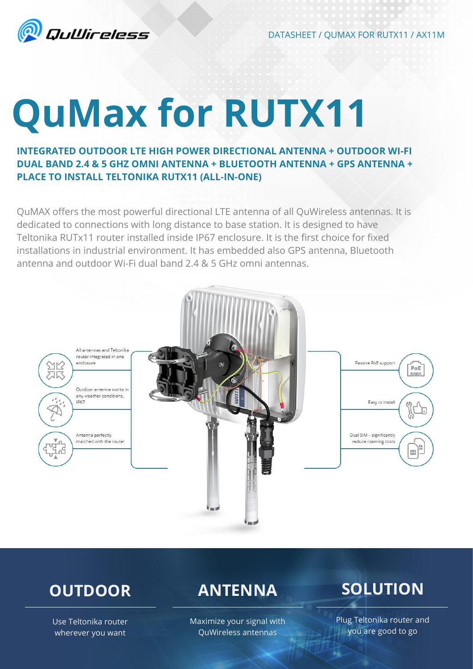

DATASHEET / QUMAX FOR RUTX11 / AX11M

# **QuMax for RUTX11**

**INTEGRATED OUTDOOR LTE HIGH POWER DIRECTIONAL ANTENNA + OUTDOOR WI-FI DUAL BAND 2.4 & 5 GHZ OMNI ANTENNA + BLUETOOTH ANTENNA + GPS ANTENNA + PLACE TO INSTALL TELTONIKA RUTX11 (ALL-IN-ONE)**

QuMAX offers the most powerful directional LTE antenna of all QuWireless antennas. It is dedicated to connections with long distance to base station. It is designed to have Teltonika RUTx11 router installed inside IP67 enclosure. It is the first choice for fixed installations in industrial environment. It has embedded also GPS antenna, Bluetooth antenna and outdoor Wi-Fi dual band 2.4 & 5 GHz omni antennas.



# **OUTDOOR**

**ANTENNA**

### Maximize your signal with QuWireless antennas

# **SOLUTION**

Use Teltonika router wherever you want

Plug Teltonika router and you are good to go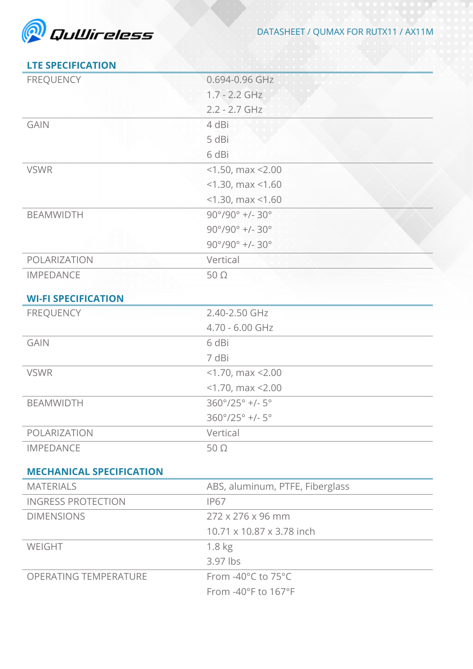

## **LTE SPECIFICATION**

| <b>FREQUENCY</b>                               | 0.694-0.96 GHz                           |
|------------------------------------------------|------------------------------------------|
|                                                | $1.7 - 2.2$ GHz                          |
|                                                | $2.2 - 2.7$ GHz                          |
| <b>GAIN</b>                                    | 4 dBi                                    |
|                                                | 5 dBi                                    |
|                                                | 6 dBi                                    |
| <b>VSWR</b>                                    | $<$ 1.50, max $<$ 2.00                   |
|                                                | $<$ 1.30, max $<$ 1.60                   |
|                                                | $<$ 1.30, max $<$ 1.60                   |
| <b>BEAMWIDTH</b>                               | $90^{\circ}/90^{\circ}$ +/- 30°          |
|                                                | $90^{\circ}/90^{\circ}$ +/- 30°          |
|                                                | $90^{\circ}/90^{\circ}$ +/- 30°          |
| POLARIZATION                                   | Vertical                                 |
| <b>IMPEDANCE</b>                               | $50\ \Omega$                             |
|                                                |                                          |
| <b>WI-FI SPECIFICATION</b><br><b>FREQUENCY</b> |                                          |
|                                                | 2.40-2.50 GHz                            |
|                                                | 4.70 - 6.00 GHz                          |
| <b>GAIN</b><br><b>VSWR</b>                     | 6 dBi                                    |
|                                                | 7 dBi                                    |
|                                                | $<$ 1.70, max $<$ 2.00                   |
|                                                | $<$ 1.70, max $<$ 2.00                   |
| <b>BEAMWIDTH</b>                               | 360°/25° +/- 5°                          |
|                                                | $360^{\circ}/25^{\circ}$ +/- $5^{\circ}$ |
| POLARIZATION                                   | Vertical                                 |
| <b>IMPEDANCE</b>                               | $50\Omega$                               |
| <b>MECHANICAL SPECIFICATION</b>                |                                          |
| <b>MATERIALS</b>                               | ABS, aluminum, PTFE, Fiberglass          |
| <b>INGRESS PROTECTION</b>                      | <b>IP67</b>                              |
| <b>DIMENSIONS</b>                              | 272 x 276 x 96 mm                        |
|                                                | 10.71 x 10.87 x 3.78 inch                |
| WEIGHT                                         | 1.8 <sub>kg</sub>                        |
|                                                | 3.97 lbs                                 |
| <b>OPERATING TEMPERATURE</b>                   | From -40°C to 75°C                       |
|                                                | From -40°F to 167°F                      |
|                                                |                                          |